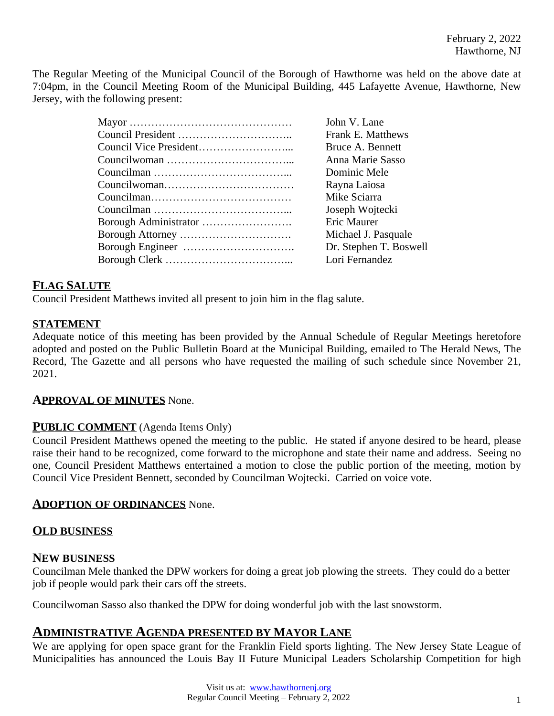The Regular Meeting of the Municipal Council of the Borough of Hawthorne was held on the above date at 7:04pm, in the Council Meeting Room of the Municipal Building, 445 Lafayette Avenue, Hawthorne, New Jersey, with the following present:

| John V. Lane           |
|------------------------|
| Frank E. Matthews      |
| Bruce A. Bennett       |
| Anna Marie Sasso       |
| Dominic Mele           |
| Rayna Laiosa           |
| Mike Sciarra           |
| Joseph Wojtecki        |
| Eric Maurer            |
| Michael J. Pasquale    |
| Dr. Stephen T. Boswell |
| Lori Fernandez         |
|                        |

# **FLAG SALUTE**

Council President Matthews invited all present to join him in the flag salute.

#### **STATEMENT**

Adequate notice of this meeting has been provided by the Annual Schedule of Regular Meetings heretofore adopted and posted on the Public Bulletin Board at the Municipal Building, emailed to The Herald News, The Record, The Gazette and all persons who have requested the mailing of such schedule since November 21, 2021.

#### **APPROVAL OF MINUTES** None.

#### **PUBLIC COMMENT** (Agenda Items Only)

Council President Matthews opened the meeting to the public. He stated if anyone desired to be heard, please raise their hand to be recognized, come forward to the microphone and state their name and address. Seeing no one, Council President Matthews entertained a motion to close the public portion of the meeting, motion by Council Vice President Bennett, seconded by Councilman Wojtecki. Carried on voice vote.

#### **ADOPTION OF ORDINANCES** None.

# **OLD BUSINESS**

#### **NEW BUSINESS**

Councilman Mele thanked the DPW workers for doing a great job plowing the streets. They could do a better job if people would park their cars off the streets.

Councilwoman Sasso also thanked the DPW for doing wonderful job with the last snowstorm.

#### **ADMINISTRATIVE AGENDA PRESENTED BY MAYOR LANE**

We are applying for open space grant for the Franklin Field sports lighting. The New Jersey State League of Municipalities has announced the Louis Bay II Future Municipal Leaders Scholarship Competition for high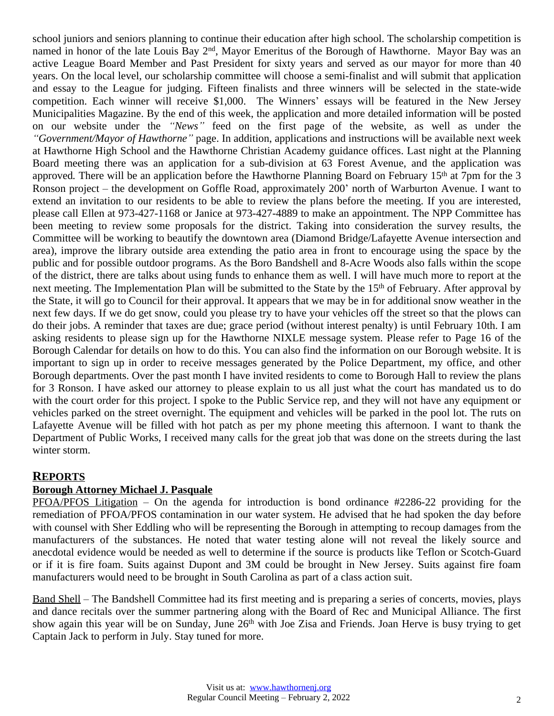school juniors and seniors planning to continue their education after high school. The scholarship competition is named in honor of the late Louis Bay 2<sup>nd</sup>, Mayor Emeritus of the Borough of Hawthorne. Mayor Bay was an active League Board Member and Past President for sixty years and served as our mayor for more than 40 years. On the local level, our scholarship committee will choose a semi-finalist and will submit that application and essay to the League for judging. Fifteen finalists and three winners will be selected in the state-wide competition. Each winner will receive \$1,000. The Winners' essays will be featured in the New Jersey Municipalities Magazine. By the end of this week, the application and more detailed information will be posted on our website under the *"News"* feed on the first page of the website, as well as under the *"Government/Mayor of Hawthorne"* page. In addition, applications and instructions will be available next week at Hawthorne High School and the Hawthorne Christian Academy guidance offices. Last night at the Planning Board meeting there was an application for a sub-division at 63 Forest Avenue, and the application was approved. There will be an application before the Hawthorne Planning Board on February 15<sup>th</sup> at 7pm for the 3 Ronson project – the development on Goffle Road, approximately 200' north of Warburton Avenue. I want to extend an invitation to our residents to be able to review the plans before the meeting. If you are interested, please call Ellen at 973-427-1168 or Janice at 973-427-4889 to make an appointment. The NPP Committee has been meeting to review some proposals for the district. Taking into consideration the survey results, the Committee will be working to beautify the downtown area (Diamond Bridge/Lafayette Avenue intersection and area), improve the library outside area extending the patio area in front to encourage using the space by the public and for possible outdoor programs. As the Boro Bandshell and 8-Acre Woods also falls within the scope of the district, there are talks about using funds to enhance them as well. I will have much more to report at the next meeting. The Implementation Plan will be submitted to the State by the 15<sup>th</sup> of February. After approval by the State, it will go to Council for their approval. It appears that we may be in for additional snow weather in the next few days. If we do get snow, could you please try to have your vehicles off the street so that the plows can do their jobs. A reminder that taxes are due; grace period (without interest penalty) is until February 10th. I am asking residents to please sign up for the Hawthorne NIXLE message system. Please refer to Page 16 of the Borough Calendar for details on how to do this. You can also find the information on our Borough website. It is important to sign up in order to receive messages generated by the Police Department, my office, and other Borough departments. Over the past month I have invited residents to come to Borough Hall to review the plans for 3 Ronson. I have asked our attorney to please explain to us all just what the court has mandated us to do with the court order for this project. I spoke to the Public Service rep, and they will not have any equipment or vehicles parked on the street overnight. The equipment and vehicles will be parked in the pool lot. The ruts on Lafayette Avenue will be filled with hot patch as per my phone meeting this afternoon. I want to thank the Department of Public Works, I received many calls for the great job that was done on the streets during the last winter storm.

# **REPORTS**

#### **Borough Attorney Michael J. Pasquale**

PFOA/PFOS Litigation – On the agenda for introduction is bond ordinance #2286-22 providing for the remediation of PFOA/PFOS contamination in our water system. He advised that he had spoken the day before with counsel with Sher Eddling who will be representing the Borough in attempting to recoup damages from the manufacturers of the substances. He noted that water testing alone will not reveal the likely source and anecdotal evidence would be needed as well to determine if the source is products like Teflon or Scotch-Guard or if it is fire foam. Suits against Dupont and 3M could be brought in New Jersey. Suits against fire foam manufacturers would need to be brought in South Carolina as part of a class action suit.

Band Shell – The Bandshell Committee had its first meeting and is preparing a series of concerts, movies, plays and dance recitals over the summer partnering along with the Board of Rec and Municipal Alliance. The first show again this year will be on Sunday, June 26<sup>th</sup> with Joe Zisa and Friends. Joan Herve is busy trying to get Captain Jack to perform in July. Stay tuned for more.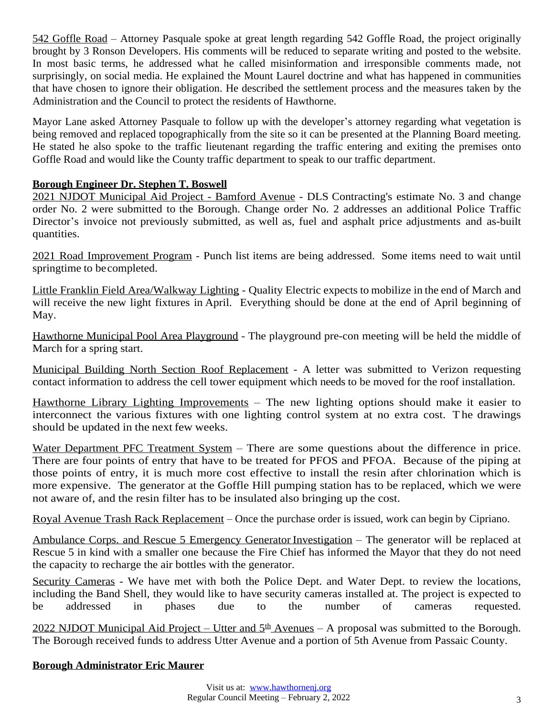542 Goffle Road – Attorney Pasquale spoke at great length regarding 542 Goffle Road, the project originally brought by 3 Ronson Developers. His comments will be reduced to separate writing and posted to the website. In most basic terms, he addressed what he called misinformation and irresponsible comments made, not surprisingly, on social media. He explained the Mount Laurel doctrine and what has happened in communities that have chosen to ignore their obligation. He described the settlement process and the measures taken by the Administration and the Council to protect the residents of Hawthorne.

Mayor Lane asked Attorney Pasquale to follow up with the developer's attorney regarding what vegetation is being removed and replaced topographically from the site so it can be presented at the Planning Board meeting. He stated he also spoke to the traffic lieutenant regarding the traffic entering and exiting the premises onto Goffle Road and would like the County traffic department to speak to our traffic department.

# **Borough Engineer Dr. Stephen T. Boswell**

2021 NJDOT Municipal Aid Project - Bamford Avenue - DLS Contracting's estimate No. 3 and change order No. 2 were submitted to the Borough. Change order No. 2 addresses an additional Police Traffic Director's invoice not previously submitted, as well as, fuel and asphalt price adjustments and as-built quantities.

2021 Road Improvement Program - Punch list items are being addressed. Some items need to wait until springtime to becompleted.

Little Franklin Field Area/Walkway Lighting - Quality Electric expects to mobilize in the end of March and will receive the new light fixtures in April. Everything should be done at the end of April beginning of May.

Hawthorne Municipal Pool Area Playground - The playground pre-con meeting will be held the middle of March for a spring start.

Municipal Building North Section Roof Replacement - A letter was submitted to Verizon requesting contact information to address the cell tower equipment which needs to be moved for the roof installation.

Hawthorne Library Lighting Improvements – The new lighting options should make it easier to interconnect the various fixtures with one lighting control system at no extra cost. The drawings should be updated in the next few weeks.

Water Department PFC Treatment System – There are some questions about the difference in price. There are four points of entry that have to be treated for PFOS and PFOA. Because of the piping at those points of entry, it is much more cost effective to install the resin after chlorination which is more expensive. The generator at the Goffle Hill pumping station has to be replaced, which we were not aware of, and the resin filter has to be insulated also bringing up the cost.

Royal Avenue Trash Rack Replacement – Once the purchase order is issued, work can begin by Cipriano.

Ambulance Corps. and Rescue 5 Emergency Generator Investigation – The generator will be replaced at Rescue 5 in kind with a smaller one because the Fire Chief has informed the Mayor that they do not need the capacity to recharge the air bottles with the generator.

Security Cameras - We have met with both the Police Dept. and Water Dept. to review the locations, including the Band Shell, they would like to have security cameras installed at. The project is expected to be addressed in phases due to the number of cameras requested.

2022 NJDOT Municipal Aid Project – Utter and 5<sup>th</sup> Avenues – A proposal was submitted to the Borough. The Borough received funds to address Utter Avenue and a portion of 5th Avenue from Passaic County.

#### **Borough Administrator Eric Maurer**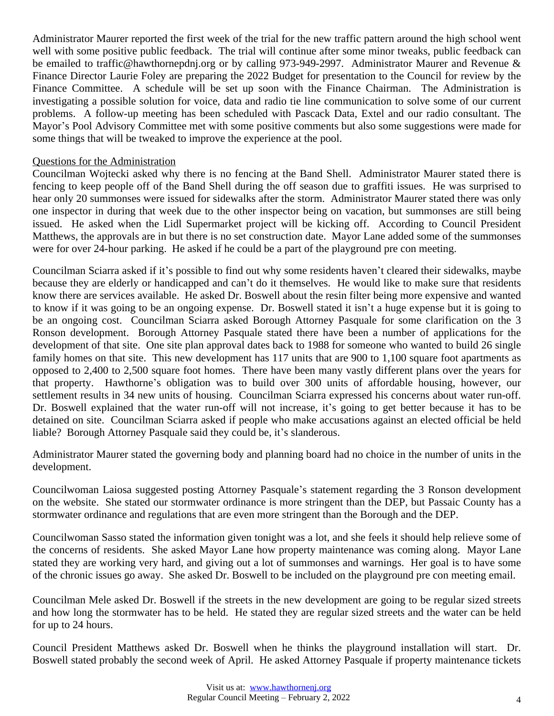Administrator Maurer reported the first week of the trial for the new traffic pattern around the high school went well with some positive public feedback. The trial will continue after some minor tweaks, public feedback can be emailed to traffic@hawthornepdnj.org or by calling 973-949-2997. Administrator Maurer and Revenue & Finance Director Laurie Foley are preparing the 2022 Budget for presentation to the Council for review by the Finance Committee. A schedule will be set up soon with the Finance Chairman. The Administration is investigating a possible solution for voice, data and radio tie line communication to solve some of our current problems. A follow-up meeting has been scheduled with Pascack Data, Extel and our radio consultant. The Mayor's Pool Advisory Committee met with some positive comments but also some suggestions were made for some things that will be tweaked to improve the experience at the pool.

#### Questions for the Administration

Councilman Wojtecki asked why there is no fencing at the Band Shell. Administrator Maurer stated there is fencing to keep people off of the Band Shell during the off season due to graffiti issues. He was surprised to hear only 20 summonses were issued for sidewalks after the storm. Administrator Maurer stated there was only one inspector in during that week due to the other inspector being on vacation, but summonses are still being issued. He asked when the Lidl Supermarket project will be kicking off. According to Council President Matthews, the approvals are in but there is no set construction date. Mayor Lane added some of the summonses were for over 24-hour parking. He asked if he could be a part of the playground pre con meeting.

Councilman Sciarra asked if it's possible to find out why some residents haven't cleared their sidewalks, maybe because they are elderly or handicapped and can't do it themselves. He would like to make sure that residents know there are services available. He asked Dr. Boswell about the resin filter being more expensive and wanted to know if it was going to be an ongoing expense. Dr. Boswell stated it isn't a huge expense but it is going to be an ongoing cost. Councilman Sciarra asked Borough Attorney Pasquale for some clarification on the 3 Ronson development. Borough Attorney Pasquale stated there have been a number of applications for the development of that site. One site plan approval dates back to 1988 for someone who wanted to build 26 single family homes on that site. This new development has 117 units that are 900 to 1,100 square foot apartments as opposed to 2,400 to 2,500 square foot homes. There have been many vastly different plans over the years for that property. Hawthorne's obligation was to build over 300 units of affordable housing, however, our settlement results in 34 new units of housing. Councilman Sciarra expressed his concerns about water run-off. Dr. Boswell explained that the water run-off will not increase, it's going to get better because it has to be detained on site. Councilman Sciarra asked if people who make accusations against an elected official be held liable? Borough Attorney Pasquale said they could be, it's slanderous.

Administrator Maurer stated the governing body and planning board had no choice in the number of units in the development.

Councilwoman Laiosa suggested posting Attorney Pasquale's statement regarding the 3 Ronson development on the website. She stated our stormwater ordinance is more stringent than the DEP, but Passaic County has a stormwater ordinance and regulations that are even more stringent than the Borough and the DEP.

Councilwoman Sasso stated the information given tonight was a lot, and she feels it should help relieve some of the concerns of residents. She asked Mayor Lane how property maintenance was coming along. Mayor Lane stated they are working very hard, and giving out a lot of summonses and warnings. Her goal is to have some of the chronic issues go away. She asked Dr. Boswell to be included on the playground pre con meeting email.

Councilman Mele asked Dr. Boswell if the streets in the new development are going to be regular sized streets and how long the stormwater has to be held. He stated they are regular sized streets and the water can be held for up to 24 hours.

Council President Matthews asked Dr. Boswell when he thinks the playground installation will start. Dr. Boswell stated probably the second week of April. He asked Attorney Pasquale if property maintenance tickets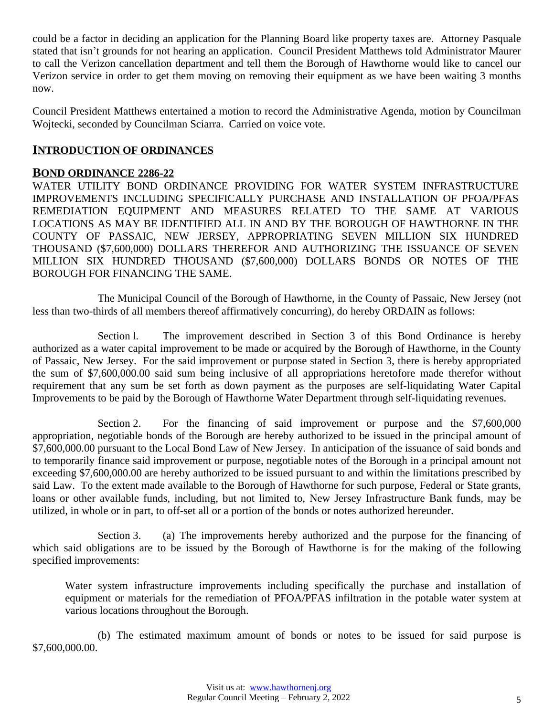could be a factor in deciding an application for the Planning Board like property taxes are. Attorney Pasquale stated that isn't grounds for not hearing an application. Council President Matthews told Administrator Maurer to call the Verizon cancellation department and tell them the Borough of Hawthorne would like to cancel our Verizon service in order to get them moving on removing their equipment as we have been waiting 3 months now.

Council President Matthews entertained a motion to record the Administrative Agenda, motion by Councilman Wojtecki, seconded by Councilman Sciarra. Carried on voice vote.

## **INTRODUCTION OF ORDINANCES**

#### **BOND ORDINANCE 2286-22**

WATER UTILITY BOND ORDINANCE PROVIDING FOR WATER SYSTEM INFRASTRUCTURE IMPROVEMENTS INCLUDING SPECIFICALLY PURCHASE AND INSTALLATION OF PFOA/PFAS REMEDIATION EQUIPMENT AND MEASURES RELATED TO THE SAME AT VARIOUS LOCATIONS AS MAY BE IDENTIFIED ALL IN AND BY THE BOROUGH OF HAWTHORNE IN THE COUNTY OF PASSAIC, NEW JERSEY, APPROPRIATING SEVEN MILLION SIX HUNDRED THOUSAND (\$7,600,000) DOLLARS THEREFOR AND AUTHORIZING THE ISSUANCE OF SEVEN MILLION SIX HUNDRED THOUSAND (\$7,600,000) DOLLARS BONDS OR NOTES OF THE BOROUGH FOR FINANCING THE SAME.

The Municipal Council of the Borough of Hawthorne, in the County of Passaic, New Jersey (not less than two-thirds of all members thereof affirmatively concurring), do hereby ORDAIN as follows:

Section l. The improvement described in Section 3 of this Bond Ordinance is hereby authorized as a water capital improvement to be made or acquired by the Borough of Hawthorne, in the County of Passaic, New Jersey. For the said improvement or purpose stated in Section 3, there is hereby appropriated the sum of \$7,600,000.00 said sum being inclusive of all appropriations heretofore made therefor without requirement that any sum be set forth as down payment as the purposes are self-liquidating Water Capital Improvements to be paid by the Borough of Hawthorne Water Department through self-liquidating revenues.

Section 2. For the financing of said improvement or purpose and the \$7,600,000 appropriation, negotiable bonds of the Borough are hereby authorized to be issued in the principal amount of \$7,600,000.00 pursuant to the Local Bond Law of New Jersey. In anticipation of the issuance of said bonds and to temporarily finance said improvement or purpose, negotiable notes of the Borough in a principal amount not exceeding \$7,600,000.00 are hereby authorized to be issued pursuant to and within the limitations prescribed by said Law. To the extent made available to the Borough of Hawthorne for such purpose, Federal or State grants, loans or other available funds, including, but not limited to, New Jersey Infrastructure Bank funds, may be utilized, in whole or in part, to off-set all or a portion of the bonds or notes authorized hereunder.

Section 3. (a) The improvements hereby authorized and the purpose for the financing of which said obligations are to be issued by the Borough of Hawthorne is for the making of the following specified improvements:

Water system infrastructure improvements including specifically the purchase and installation of equipment or materials for the remediation of PFOA/PFAS infiltration in the potable water system at various locations throughout the Borough.

(b) The estimated maximum amount of bonds or notes to be issued for said purpose is \$7,600,000.00.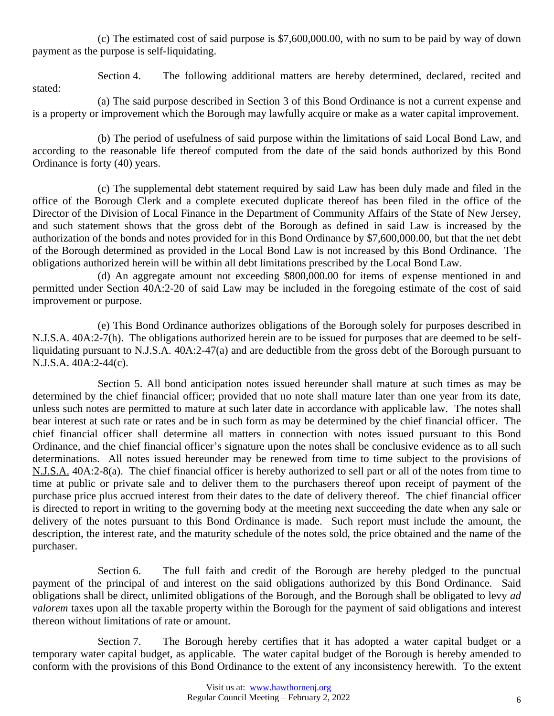(c) The estimated cost of said purpose is \$7,600,000.00, with no sum to be paid by way of down payment as the purpose is self-liquidating.

Section 4. The following additional matters are hereby determined, declared, recited and stated:

(a) The said purpose described in Section 3 of this Bond Ordinance is not a current expense and is a property or improvement which the Borough may lawfully acquire or make as a water capital improvement.

(b) The period of usefulness of said purpose within the limitations of said Local Bond Law, and according to the reasonable life thereof computed from the date of the said bonds authorized by this Bond Ordinance is forty (40) years.

(c) The supplemental debt statement required by said Law has been duly made and filed in the office of the Borough Clerk and a complete executed duplicate thereof has been filed in the office of the Director of the Division of Local Finance in the Department of Community Affairs of the State of New Jersey, and such statement shows that the gross debt of the Borough as defined in said Law is increased by the authorization of the bonds and notes provided for in this Bond Ordinance by \$7,600,000.00, but that the net debt of the Borough determined as provided in the Local Bond Law is not increased by this Bond Ordinance. The obligations authorized herein will be within all debt limitations prescribed by the Local Bond Law.

(d) An aggregate amount not exceeding \$800,000.00 for items of expense mentioned in and permitted under Section 40A:2-20 of said Law may be included in the foregoing estimate of the cost of said improvement or purpose.

(e) This Bond Ordinance authorizes obligations of the Borough solely for purposes described in N.J.S.A. 40A:2-7(h). The obligations authorized herein are to be issued for purposes that are deemed to be selfliquidating pursuant to N.J.S.A. 40A:2-47(a) and are deductible from the gross debt of the Borough pursuant to N.J.S.A. 40A:2-44(c).

Section 5. All bond anticipation notes issued hereunder shall mature at such times as may be determined by the chief financial officer; provided that no note shall mature later than one year from its date, unless such notes are permitted to mature at such later date in accordance with applicable law. The notes shall bear interest at such rate or rates and be in such form as may be determined by the chief financial officer. The chief financial officer shall determine all matters in connection with notes issued pursuant to this Bond Ordinance, and the chief financial officer's signature upon the notes shall be conclusive evidence as to all such determinations. All notes issued hereunder may be renewed from time to time subject to the provisions of N.J.S.A. 40A:2-8(a). The chief financial officer is hereby authorized to sell part or all of the notes from time to time at public or private sale and to deliver them to the purchasers thereof upon receipt of payment of the purchase price plus accrued interest from their dates to the date of delivery thereof. The chief financial officer is directed to report in writing to the governing body at the meeting next succeeding the date when any sale or delivery of the notes pursuant to this Bond Ordinance is made. Such report must include the amount, the description, the interest rate, and the maturity schedule of the notes sold, the price obtained and the name of the purchaser.

Section 6. The full faith and credit of the Borough are hereby pledged to the punctual payment of the principal of and interest on the said obligations authorized by this Bond Ordinance. Said obligations shall be direct, unlimited obligations of the Borough, and the Borough shall be obligated to levy *ad valorem* taxes upon all the taxable property within the Borough for the payment of said obligations and interest thereon without limitations of rate or amount.

Section 7. The Borough hereby certifies that it has adopted a water capital budget or a temporary water capital budget, as applicable. The water capital budget of the Borough is hereby amended to conform with the provisions of this Bond Ordinance to the extent of any inconsistency herewith. To the extent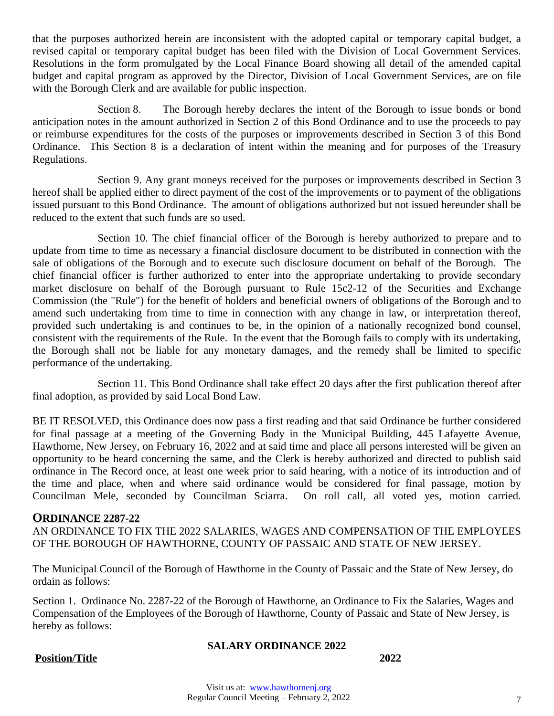that the purposes authorized herein are inconsistent with the adopted capital or temporary capital budget, a revised capital or temporary capital budget has been filed with the Division of Local Government Services. Resolutions in the form promulgated by the Local Finance Board showing all detail of the amended capital budget and capital program as approved by the Director, Division of Local Government Services, are on file with the Borough Clerk and are available for public inspection.

Section 8. The Borough hereby declares the intent of the Borough to issue bonds or bond anticipation notes in the amount authorized in Section 2 of this Bond Ordinance and to use the proceeds to pay or reimburse expenditures for the costs of the purposes or improvements described in Section 3 of this Bond Ordinance. This Section 8 is a declaration of intent within the meaning and for purposes of the Treasury Regulations.

Section 9. Any grant moneys received for the purposes or improvements described in Section 3 hereof shall be applied either to direct payment of the cost of the improvements or to payment of the obligations issued pursuant to this Bond Ordinance. The amount of obligations authorized but not issued hereunder shall be reduced to the extent that such funds are so used.

Section 10. The chief financial officer of the Borough is hereby authorized to prepare and to update from time to time as necessary a financial disclosure document to be distributed in connection with the sale of obligations of the Borough and to execute such disclosure document on behalf of the Borough. The chief financial officer is further authorized to enter into the appropriate undertaking to provide secondary market disclosure on behalf of the Borough pursuant to Rule 15c2-12 of the Securities and Exchange Commission (the "Rule") for the benefit of holders and beneficial owners of obligations of the Borough and to amend such undertaking from time to time in connection with any change in law, or interpretation thereof, provided such undertaking is and continues to be, in the opinion of a nationally recognized bond counsel, consistent with the requirements of the Rule. In the event that the Borough fails to comply with its undertaking, the Borough shall not be liable for any monetary damages, and the remedy shall be limited to specific performance of the undertaking.

Section 11. This Bond Ordinance shall take effect 20 days after the first publication thereof after final adoption, as provided by said Local Bond Law.

BE IT RESOLVED, this Ordinance does now pass a first reading and that said Ordinance be further considered for final passage at a meeting of the Governing Body in the Municipal Building, 445 Lafayette Avenue, Hawthorne, New Jersey, on February 16, 2022 and at said time and place all persons interested will be given an opportunity to be heard concerning the same, and the Clerk is hereby authorized and directed to publish said ordinance in The Record once, at least one week prior to said hearing, with a notice of its introduction and of the time and place, when and where said ordinance would be considered for final passage, motion by Councilman Mele, seconded by Councilman Sciarra. On roll call, all voted yes, motion carried.

#### **ORDINANCE 2287-22**

AN ORDINANCE TO FIX THE 2022 SALARIES, WAGES AND COMPENSATION OF THE EMPLOYEES OF THE BOROUGH OF HAWTHORNE, COUNTY OF PASSAIC AND STATE OF NEW JERSEY.

The Municipal Council of the Borough of Hawthorne in the County of Passaic and the State of New Jersey, do ordain as follows:

Section 1. Ordinance No. 2287-22 of the Borough of Hawthorne, an Ordinance to Fix the Salaries, Wages and Compensation of the Employees of the Borough of Hawthorne, County of Passaic and State of New Jersey, is hereby as follows:

#### **SALARY ORDINANCE 2022**

#### **Position/Title 2022**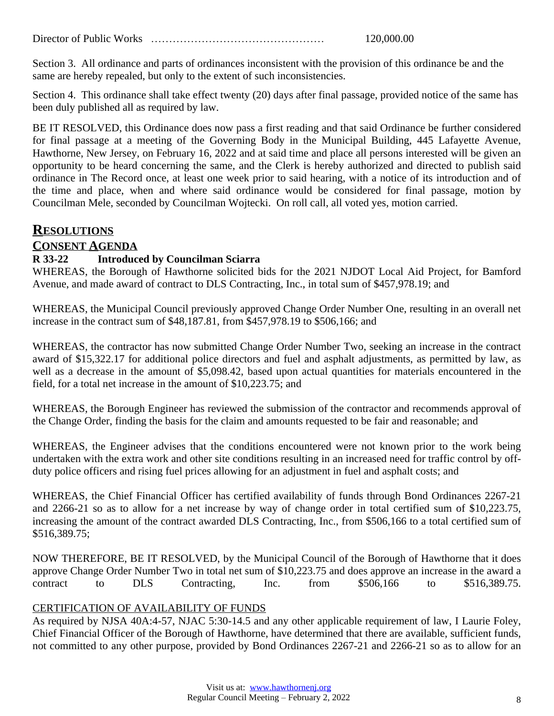Director of Public Works ………………………………………… 120,000.00

Section 3. All ordinance and parts of ordinances inconsistent with the provision of this ordinance be and the same are hereby repealed, but only to the extent of such inconsistencies.

Section 4. This ordinance shall take effect twenty (20) days after final passage, provided notice of the same has been duly published all as required by law.

BE IT RESOLVED, this Ordinance does now pass a first reading and that said Ordinance be further considered for final passage at a meeting of the Governing Body in the Municipal Building, 445 Lafayette Avenue, Hawthorne, New Jersey, on February 16, 2022 and at said time and place all persons interested will be given an opportunity to be heard concerning the same, and the Clerk is hereby authorized and directed to publish said ordinance in The Record once, at least one week prior to said hearing, with a notice of its introduction and of the time and place, when and where said ordinance would be considered for final passage, motion by Councilman Mele, seconded by Councilman Wojtecki. On roll call, all voted yes, motion carried.

# **RESOLUTIONS**

# **CONSENT AGENDA**

### **R 33-22 Introduced by Councilman Sciarra**

WHEREAS, the Borough of Hawthorne solicited bids for the 2021 NJDOT Local Aid Project, for Bamford Avenue, and made award of contract to DLS Contracting, Inc., in total sum of \$457,978.19; and

WHEREAS, the Municipal Council previously approved Change Order Number One, resulting in an overall net increase in the contract sum of \$48,187.81, from \$457,978.19 to \$506,166; and

WHEREAS, the contractor has now submitted Change Order Number Two, seeking an increase in the contract award of \$15,322.17 for additional police directors and fuel and asphalt adjustments, as permitted by law, as well as a decrease in the amount of \$5,098.42, based upon actual quantities for materials encountered in the field, for a total net increase in the amount of \$10,223.75; and

WHEREAS, the Borough Engineer has reviewed the submission of the contractor and recommends approval of the Change Order, finding the basis for the claim and amounts requested to be fair and reasonable; and

WHEREAS, the Engineer advises that the conditions encountered were not known prior to the work being undertaken with the extra work and other site conditions resulting in an increased need for traffic control by offduty police officers and rising fuel prices allowing for an adjustment in fuel and asphalt costs; and

WHEREAS, the Chief Financial Officer has certified availability of funds through Bond Ordinances 2267-21 and 2266-21 so as to allow for a net increase by way of change order in total certified sum of \$10,223.75, increasing the amount of the contract awarded DLS Contracting, Inc., from \$506,166 to a total certified sum of \$516,389.75;

NOW THEREFORE, BE IT RESOLVED, by the Municipal Council of the Borough of Hawthorne that it does approve Change Order Number Two in total net sum of \$10,223.75 and does approve an increase in the award a contract to DLS Contracting, Inc. from \$506,166 to \$516,389.75.

#### CERTIFICATION OF AVAILABILITY OF FUNDS

As required by NJSA 40A:4-57, NJAC 5:30-14.5 and any other applicable requirement of law, I Laurie Foley, Chief Financial Officer of the Borough of Hawthorne, have determined that there are available, sufficient funds, not committed to any other purpose, provided by Bond Ordinances 2267-21 and 2266-21 so as to allow for an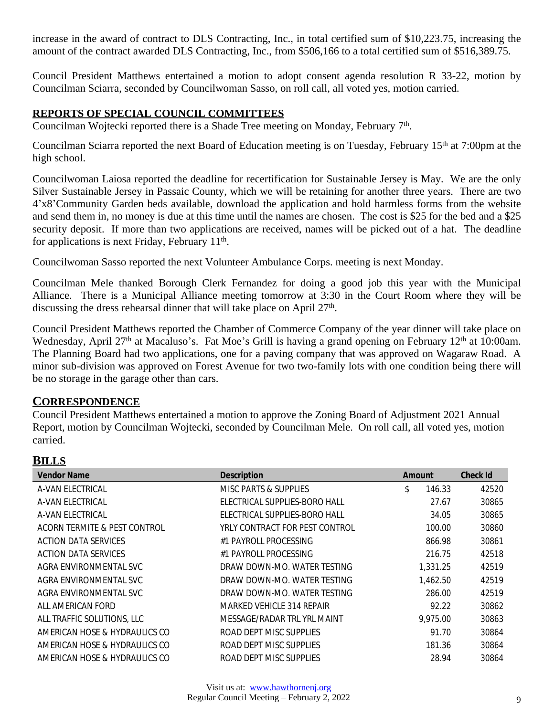increase in the award of contract to DLS Contracting, Inc., in total certified sum of \$10,223.75, increasing the amount of the contract awarded DLS Contracting, Inc., from \$506,166 to a total certified sum of \$516,389.75.

Council President Matthews entertained a motion to adopt consent agenda resolution R 33-22, motion by Councilman Sciarra, seconded by Councilwoman Sasso, on roll call, all voted yes, motion carried.

#### **REPORTS OF SPECIAL COUNCIL COMMITTEES**

Councilman Wojtecki reported there is a Shade Tree meeting on Monday, February 7<sup>th</sup>.

Councilman Sciarra reported the next Board of Education meeting is on Tuesday, February 15th at 7:00pm at the high school.

Councilwoman Laiosa reported the deadline for recertification for Sustainable Jersey is May. We are the only Silver Sustainable Jersey in Passaic County, which we will be retaining for another three years. There are two 4'x8'Community Garden beds available, download the application and hold harmless forms from the website and send them in, no money is due at this time until the names are chosen. The cost is \$25 for the bed and a \$25 security deposit. If more than two applications are received, names will be picked out of a hat. The deadline for applications is next Friday, February 11<sup>th</sup>.

Councilwoman Sasso reported the next Volunteer Ambulance Corps. meeting is next Monday.

Councilman Mele thanked Borough Clerk Fernandez for doing a good job this year with the Municipal Alliance. There is a Municipal Alliance meeting tomorrow at 3:30 in the Court Room where they will be discussing the dress rehearsal dinner that will take place on April 27<sup>th</sup>.

Council President Matthews reported the Chamber of Commerce Company of the year dinner will take place on Wednesday, April 27<sup>th</sup> at Macaluso's. Fat Moe's Grill is having a grand opening on February 12<sup>th</sup> at 10:00am. The Planning Board had two applications, one for a paving company that was approved on Wagaraw Road. A minor sub-division was approved on Forest Avenue for two two-family lots with one condition being there will be no storage in the garage other than cars.

# **CORRESPONDENCE**

Council President Matthews entertained a motion to approve the Zoning Board of Adjustment 2021 Annual Report, motion by Councilman Wojtecki, seconded by Councilman Mele. On roll call, all voted yes, motion carried.

# **BILLS**

| <b>Vendor Name</b>            | <b>Description</b>             | Amount       | <b>Check Id</b> |
|-------------------------------|--------------------------------|--------------|-----------------|
| A-VAN ELECTRICAL              | MISC PARTS & SUPPLIES          | \$<br>146.33 | 42520           |
| A-VAN ELECTRICAL              | ELECTRICAL SUPPLIES-BORO HALL  | 27.67        | 30865           |
| A-VAN ELECTRICAL              | ELECTRICAL SUPPLIES-BORO HALL  | 34.05        | 30865           |
| ACORN TERMITE & PEST CONTROL  | YRLY CONTRACT FOR PEST CONTROL | 100.00       | 30860           |
| ACTION DATA SERVICES          | #1 PAYROLL PROCESSING          | 866.98       | 30861           |
| ACTION DATA SERVICES          | #1 PAYROLL PROCESSING          | 216.75       | 42518           |
| AGRA ENVIRONMENTAL SVC        | DRAW DOWN-MO. WATER TESTING    | 1.331.25     | 42519           |
| AGRA ENVIRONMENTAL SVC        | DRAW DOWN-MO. WATER TESTING    | 1,462.50     | 42519           |
| AGRA ENVIRONMENTAL SVC        | DRAW DOWN-MO. WATER TESTING    | 286.00       | 42519           |
| ALL AMERICAN FORD             | MARKED VEHICLE 314 REPAIR      | 92.22        | 30862           |
| ALL TRAFFIC SOLUTIONS, LLC    | MESSAGE/RADAR TRL YRL MAINT    | 9,975.00     | 30863           |
| AMERICAN HOSE & HYDRAULICS CO | ROAD DEPT MISC SUPPLIES        | 91.70        | 30864           |
| AMERICAN HOSE & HYDRAULICS CO | ROAD DEPT MISC SUPPLIES        | 181.36       | 30864           |
| AMERICAN HOSE & HYDRAULICS CO | ROAD DEPT MISC SUPPLIES        | 28.94        | 30864           |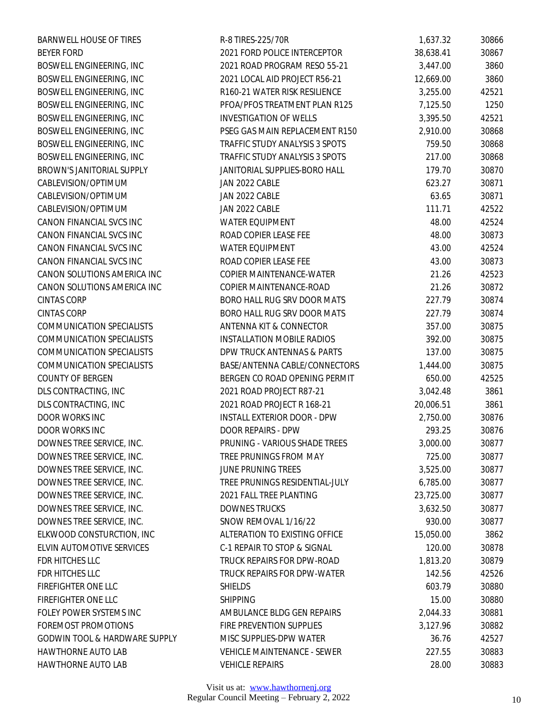| <b>BARNWELL HOUSE OF TIRES</b>           | R-8 TIRES-225/70R                  | 1,637.32  | 30866 |
|------------------------------------------|------------------------------------|-----------|-------|
| <b>BEYER FORD</b>                        | 2021 FORD POLICE INTERCEPTOR       | 38,638.41 | 30867 |
| BOSWELL ENGINEERING, INC                 | 2021 ROAD PROGRAM RESO 55-21       | 3,447.00  | 3860  |
| BOSWELL ENGINEERING, INC                 | 2021 LOCAL AID PROJECT R56-21      | 12,669.00 | 3860  |
| BOSWELL ENGINEERING, INC                 | R160-21 WATER RISK RESILIENCE      | 3,255.00  | 42521 |
| BOSWELL ENGINEERING, INC                 | PFOA/PFOS TREATMENT PLAN R125      | 7,125.50  | 1250  |
| BOSWELL ENGINEERING, INC                 | <b>INVESTIGATION OF WELLS</b>      | 3,395.50  | 42521 |
| BOSWELL ENGINEERING, INC                 | PSEG GAS MAIN REPLACEMENT R150     | 2,910.00  | 30868 |
| BOSWELL ENGINEERING, INC                 | TRAFFIC STUDY ANALYSIS 3 SPOTS     | 759.50    | 30868 |
| BOSWELL ENGINEERING, INC                 | TRAFFIC STUDY ANALYSIS 3 SPOTS     | 217.00    | 30868 |
| BROWN'S JANITORIAL SUPPLY                | JANITORIAL SUPPLIES-BORO HALL      | 179.70    | 30870 |
| CABLEVISION/OPTIMUM                      | JAN 2022 CABLE                     | 623.27    | 30871 |
| CABLEVISION/OPTIMUM                      | JAN 2022 CABLE                     | 63.65     | 30871 |
| CABLEVISION/OPTIMUM                      | JAN 2022 CABLE                     | 111.71    | 42522 |
| CANON FINANCIAL SVCS INC                 | <b>WATER EQUIPMENT</b>             | 48.00     | 42524 |
| CANON FINANCIAL SVCS INC                 | ROAD COPIER LEASE FEE              | 48.00     | 30873 |
| CANON FINANCIAL SVCS INC                 | <b>WATER EQUIPMENT</b>             | 43.00     | 42524 |
| CANON FINANCIAL SVCS INC                 | ROAD COPIER LEASE FEE              | 43.00     | 30873 |
| CANON SOLUTIONS AMERICA INC              | COPIER MAINTENANCE-WATER           | 21.26     | 42523 |
| CANON SOLUTIONS AMERICA INC              | COPIER MAINTENANCE-ROAD            | 21.26     | 30872 |
| <b>CINTAS CORP</b>                       | BORO HALL RUG SRV DOOR MATS        | 227.79    | 30874 |
| <b>CINTAS CORP</b>                       | BORO HALL RUG SRV DOOR MATS        | 227.79    | 30874 |
| <b>COMMUNICATION SPECIALISTS</b>         | ANTENNA KIT & CONNECTOR            | 357.00    | 30875 |
| <b>COMMUNICATION SPECIALISTS</b>         | <b>INSTALLATION MOBILE RADIOS</b>  | 392.00    | 30875 |
| <b>COMMUNICATION SPECIALISTS</b>         | DPW TRUCK ANTENNAS & PARTS         | 137.00    | 30875 |
| <b>COMMUNICATION SPECIALISTS</b>         | BASE/ANTENNA CABLE/CONNECTORS      | 1,444.00  | 30875 |
| <b>COUNTY OF BERGEN</b>                  | BERGEN CO ROAD OPENING PERMIT      | 650.00    | 42525 |
| DLS CONTRACTING, INC                     | 2021 ROAD PROJECT R87-21           | 3,042.48  | 3861  |
| DLS CONTRACTING, INC                     | 2021 ROAD PROJECT R 168-21         | 20,006.51 | 3861  |
| DOOR WORKS INC                           | <b>INSTALL EXTERIOR DOOR - DPW</b> | 2,750.00  | 30876 |
| DOOR WORKS INC                           | DOOR REPAIRS - DPW                 | 293.25    | 30876 |
| DOWNES TREE SERVICE, INC.                | PRUNING - VARIOUS SHADE TREES      | 3,000.00  | 30877 |
| DOWNES TREE SERVICE, INC.                | TREE PRUNINGS FROM MAY             | 725.00    | 30877 |
| DOWNES TREE SERVICE, INC.                | <b>JUNE PRUNING TREES</b>          | 3,525.00  | 30877 |
| DOWNES TREE SERVICE, INC.                | TREE PRUNINGS RESIDENTIAL-JULY     | 6,785.00  | 30877 |
| DOWNES TREE SERVICE, INC.                | 2021 FALL TREE PLANTING            | 23,725.00 | 30877 |
| DOWNES TREE SERVICE, INC.                | <b>DOWNES TRUCKS</b>               | 3,632.50  | 30877 |
| DOWNES TREE SERVICE, INC.                | SNOW REMOVAL 1/16/22               | 930.00    | 30877 |
| ELKWOOD CONSTURCTION, INC                | ALTERATION TO EXISTING OFFICE      | 15,050.00 | 3862  |
| ELVIN AUTOMOTIVE SERVICES                | C-1 REPAIR TO STOP & SIGNAL        | 120.00    | 30878 |
| FDR HITCHES LLC                          | TRUCK REPAIRS FOR DPW-ROAD         | 1,813.20  | 30879 |
| FDR HITCHES LLC                          | TRUCK REPAIRS FOR DPW-WATER        | 142.56    | 42526 |
| FIREFIGHTER ONE LLC                      | <b>SHIELDS</b>                     | 603.79    | 30880 |
| FIREFIGHTER ONE LLC                      | <b>SHIPPING</b>                    | 15.00     | 30880 |
| FOLEY POWER SYSTEMS INC                  | AMBULANCE BLDG GEN REPAIRS         | 2,044.33  | 30881 |
| <b>FOREMOST PROMOTIONS</b>               | FIRE PREVENTION SUPPLIES           | 3,127.96  | 30882 |
| <b>GODWIN TOOL &amp; HARDWARE SUPPLY</b> | MISC SUPPLIES-DPW WATER            | 36.76     | 42527 |
| HAWTHORNE AUTO LAB                       | VEHICLE MAINTENANCE - SEWER        | 227.55    | 30883 |
| HAWTHORNE AUTO LAB                       | <b>VEHICLE REPAIRS</b>             | 28.00     | 30883 |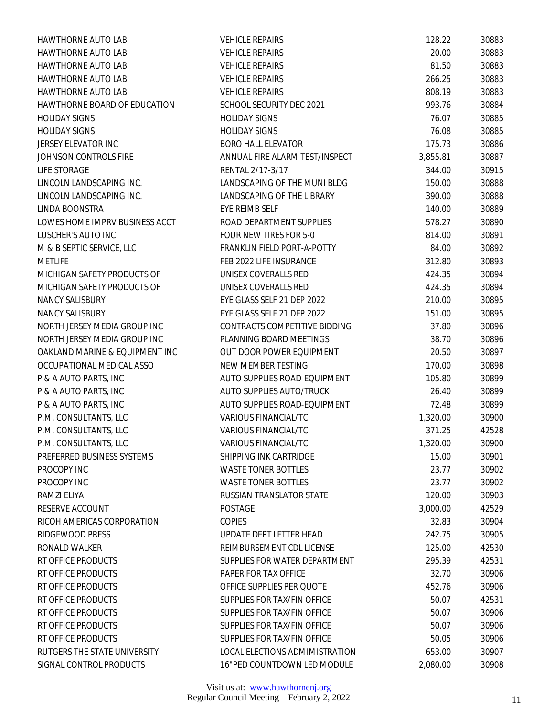| HAWTHORNE AUTO LAB             | <b>VEHICLE REPAIRS</b>             | 128.22   | 30883 |
|--------------------------------|------------------------------------|----------|-------|
| <b>HAWTHORNE AUTO LAB</b>      | <b>VEHICLE REPAIRS</b>             | 20.00    | 30883 |
| HAWTHORNE AUTO LAB             | <b>VEHICLE REPAIRS</b>             | 81.50    | 30883 |
| HAWTHORNE AUTO LAB             | <b>VEHICLE REPAIRS</b>             | 266.25   | 30883 |
| <b>HAWTHORNE AUTO LAB</b>      | <b>VEHICLE REPAIRS</b>             | 808.19   | 30883 |
| HAWTHORNE BOARD OF EDUCATION   | SCHOOL SECURITY DEC 2021           | 993.76   | 30884 |
| <b>HOLIDAY SIGNS</b>           | <b>HOLIDAY SIGNS</b>               | 76.07    | 30885 |
| <b>HOLIDAY SIGNS</b>           | <b>HOLIDAY SIGNS</b>               | 76.08    | 30885 |
| JERSEY ELEVATOR INC            | <b>BORO HALL ELEVATOR</b>          | 175.73   | 30886 |
| JOHNSON CONTROLS FIRE          | ANNUAL FIRE ALARM TEST/INSPECT     | 3,855.81 | 30887 |
| LIFE STORAGE                   | RENTAL 2/17-3/17                   | 344.00   | 30915 |
| LINCOLN LANDSCAPING INC.       | LANDSCAPING OF THE MUNI BLDG       | 150.00   | 30888 |
| LINCOLN LANDSCAPING INC.       | LANDSCAPING OF THE LIBRARY         | 390.00   | 30888 |
| LINDA BOONSTRA                 | EYE REIMB SELF                     | 140.00   | 30889 |
| LOWES HOME IMPRV BUSINESS ACCT | ROAD DEPARTMENT SUPPLIES           | 578.27   | 30890 |
| LUSCHER'S AUTO INC             | FOUR NEW TIRES FOR 5-0             | 814.00   | 30891 |
| M & B SEPTIC SERVICE, LLC      | <b>FRANKLIN FIELD PORT-A-POTTY</b> | 84.00    | 30892 |
| <b>METLIFE</b>                 | FEB 2022 LIFE INSURANCE            | 312.80   | 30893 |
| MICHIGAN SAFETY PRODUCTS OF    | UNISEX COVERALLS RED               | 424.35   | 30894 |
| MICHIGAN SAFETY PRODUCTS OF    | UNISEX COVERALLS RED               | 424.35   | 30894 |
| NANCY SALISBURY                | EYE GLASS SELF 21 DEP 2022         | 210.00   | 30895 |
| NANCY SALISBURY                | EYE GLASS SELF 21 DEP 2022         | 151.00   | 30895 |
| NORTH JERSEY MEDIA GROUP INC   | CONTRACTS COMPETITIVE BIDDING      | 37.80    | 30896 |
| NORTH JERSEY MEDIA GROUP INC   | PLANNING BOARD MEETINGS            | 38.70    | 30896 |
| OAKLAND MARINE & EQUIPMENT INC | OUT DOOR POWER EQUIPMENT           | 20.50    | 30897 |
| OCCUPATIONAL MEDICAL ASSO      | NEW MEMBER TESTING                 | 170.00   | 30898 |
| P & A AUTO PARTS, INC          | AUTO SUPPLIES ROAD-EQUIPMENT       | 105.80   | 30899 |
| P & A AUTO PARTS, INC          | AUTO SUPPLIES AUTO/TRUCK           | 26.40    | 30899 |
| P & A AUTO PARTS, INC          | AUTO SUPPLIES ROAD-EQUIPMENT       | 72.48    | 30899 |
| P.M. CONSULTANTS, LLC          | VARIOUS FINANCIAL/TC               | 1,320.00 | 30900 |
| P.M. CONSULTANTS, LLC          | <b>VARIOUS FINANCIAL/TC</b>        | 371.25   | 42528 |
| P.M. CONSULTANTS, LLC          | <b>VARIOUS FINANCIAL/TC</b>        | 1,320.00 | 30900 |
| PREFERRED BUSINESS SYSTEMS     | SHIPPING INK CARTRIDGE             | 15.00    | 30901 |
| PROCOPY INC                    | <b>WASTE TONER BOTTLES</b>         | 23.77    | 30902 |
| PROCOPY INC                    | <b>WASTE TONER BOTTLES</b>         | 23.77    | 30902 |
| RAMZI ELIYA                    | RUSSIAN TRANSLATOR STATE           | 120.00   | 30903 |
| RESERVE ACCOUNT                | <b>POSTAGE</b>                     | 3,000.00 | 42529 |
| RICOH AMERICAS CORPORATION     | <b>COPIES</b>                      | 32.83    | 30904 |
| RIDGEWOOD PRESS                | UPDATE DEPT LETTER HEAD            | 242.75   | 30905 |
| RONALD WALKER                  | REIMBURSEMENT CDL LICENSE          | 125.00   | 42530 |
| RT OFFICE PRODUCTS             | SUPPLIES FOR WATER DEPARTMENT      | 295.39   | 42531 |
| RT OFFICE PRODUCTS             | PAPER FOR TAX OFFICE               | 32.70    | 30906 |
| RT OFFICE PRODUCTS             | OFFICE SUPPLIES PER QUOTE          | 452.76   | 30906 |
| RT OFFICE PRODUCTS             | SUPPLIES FOR TAX/FIN OFFICE        | 50.07    | 42531 |
| RT OFFICE PRODUCTS             | SUPPLIES FOR TAX/FIN OFFICE        | 50.07    | 30906 |
| RT OFFICE PRODUCTS             | SUPPLIES FOR TAX/FIN OFFICE        | 50.07    | 30906 |
| RT OFFICE PRODUCTS             | SUPPLIES FOR TAX/FIN OFFICE        | 50.05    | 30906 |
| RUTGERS THE STATE UNIVERSITY   | LOCAL ELECTIONS ADMIMISTRATION     | 653.00   | 30907 |
| SIGNAL CONTROL PRODUCTS        | 16"PED COUNTDOWN LED MODULE        | 2,080.00 | 30908 |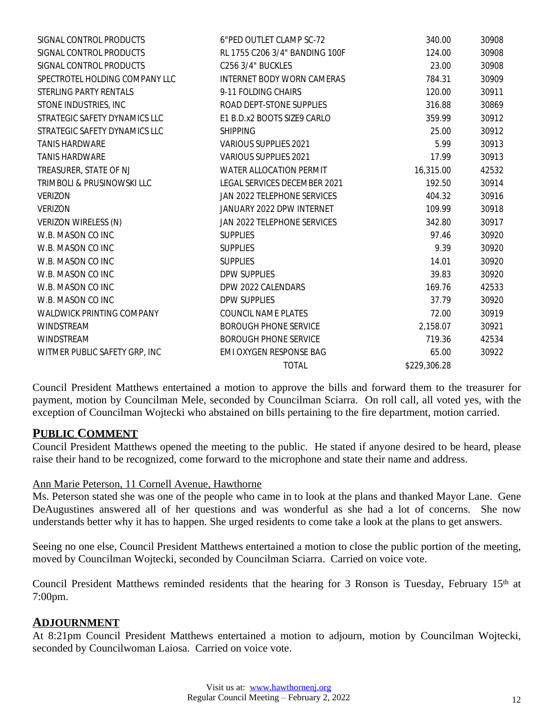| SIGNAL CONTROL PRODUCTS        | 6"PED OUTLET CLAMP SC-72       | 340.00       | 30908 |
|--------------------------------|--------------------------------|--------------|-------|
| SIGNAL CONTROL PRODUCTS        | RL 1755 C206 3/4" BANDING 100F | 124.00       | 30908 |
| SIGNAL CONTROL PRODUCTS        | C256 3/4" BUCKLES              | 23.00        | 30908 |
| SPECTROTEL HOLDING COMPANY LLC | INTERNET BODY WORN CAMERAS     | 784.31       | 30909 |
| STERLING PARTY RENTALS         | 9-11 FOLDING CHAIRS            | 120.00       | 30911 |
| STONE INDUSTRIES, INC          | ROAD DEPT-STONE SUPPLIES       | 316.88       | 30869 |
| STRATEGIC SAFETY DYNAMICS LLC  | E1 B.D.x2 BOOTS SIZE9 CARLO    | 359.99       | 30912 |
| STRATEGIC SAFETY DYNAMICS LLC  | <b>SHIPPING</b>                | 25.00        | 30912 |
| <b>TANIS HARDWARE</b>          | VARIOUS SUPPLIES 2021          | 5.99         | 30913 |
| <b>TANIS HARDWARE</b>          | VARIOUS SUPPLIES 2021          | 17.99        | 30913 |
| TREASURER, STATE OF NJ         | <b>WATER ALLOCATION PERMIT</b> | 16,315.00    | 42532 |
| TRIMBOLI & PRUSINOWSKI LLC     | LEGAL SERVICES DECEMBER 2021   | 192.50       | 30914 |
| <b>VERIZON</b>                 | JAN 2022 TELEPHONE SERVICES    | 404.32       | 30916 |
| <b>VERIZON</b>                 | JANUARY 2022 DPW INTERNET      | 109.99       | 30918 |
| VERIZON WIRELESS (N)           | JAN 2022 TELEPHONE SERVICES    | 342.80       | 30917 |
| W.B. MASON CO INC              | <b>SUPPLIES</b>                | 97.46        | 30920 |
| W.B. MASON CO INC              | <b>SUPPLIES</b>                | 9.39         | 30920 |
| W.B. MASON CO INC              | <b>SUPPLIES</b>                | 14.01        | 30920 |
| W.B. MASON CO INC              | <b>DPW SUPPLIES</b>            | 39.83        | 30920 |
| W.B. MASON CO INC              | DPW 2022 CALENDARS             | 169.76       | 42533 |
| W.B. MASON CO INC              | DPW SUPPLIES                   | 37.79        | 30920 |
| WALDWICK PRINTING COMPANY      | COUNCIL NAME PLATES            | 72.00        | 30919 |
| <b>WINDSTREAM</b>              | <b>BOROUGH PHONE SERVICE</b>   | 2,158.07     | 30921 |
| WINDSTREAM                     | <b>BOROUGH PHONE SERVICE</b>   | 719.36       | 42534 |
| WITMER PUBLIC SAFETY GRP, INC  | EMI OXYGEN RESPONSE BAG        | 65.00        | 30922 |
|                                | <b>TOTAL</b>                   | \$229,306.28 |       |

Council President Matthews entertained a motion to approve the bills and forward them to the treasurer for payment, motion by Councilman Mele, seconded by Councilman Sciarra. On roll call, all voted yes, with the exception of Councilman Wojtecki who abstained on bills pertaining to the fire department, motion carried.

#### **PUBLIC COMMENT**

Council President Matthews opened the meeting to the public. He stated if anyone desired to be heard, please raise their hand to be recognized, come forward to the microphone and state their name and address.

#### Ann Marie Peterson, 11 Cornell Avenue, Hawthorne

Ms. Peterson stated she was one of the people who came in to look at the plans and thanked Mayor Lane. Gene DeAugustines answered all of her questions and was wonderful as she had a lot of concerns. She now understands better why it has to happen. She urged residents to come take a look at the plans to get answers.

Seeing no one else, Council President Matthews entertained a motion to close the public portion of the meeting, moved by Councilman Wojtecki, seconded by Councilman Sciarra. Carried on voice vote.

Council President Matthews reminded residents that the hearing for 3 Ronson is Tuesday, February 15th at 7:00pm.

#### **ADJOURNMENT**

At 8:21pm Council President Matthews entertained a motion to adjourn, motion by Councilman Wojtecki, seconded by Councilwoman Laiosa. Carried on voice vote.